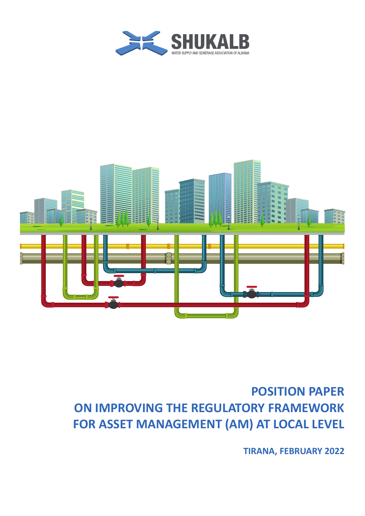



## **POSITION PAPER ON IMPROVING THE REGULATORY FRAMEWORK FOR ASSET MANAGEMENT (AM) AT LOCAL LEVEL**

**TIRANA, FEBRUARY 2022**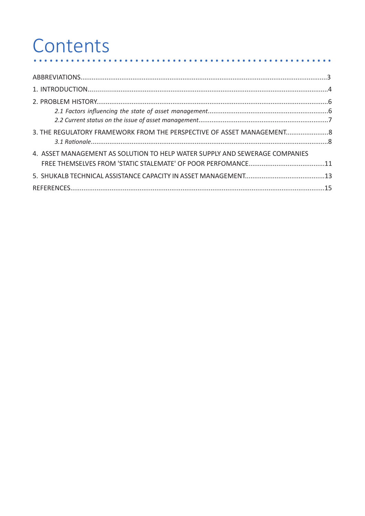#### Contents . . . . . . .

| 3. THE REGULATORY FRAMEWORK FROM THE PERSPECTIVE OF ASSET MANAGEMENT8       |  |
|-----------------------------------------------------------------------------|--|
|                                                                             |  |
| 4. ASSET MANAGEMENT AS SOLUTION TO HELP WATER SUPPLY AND SEWERAGE COMPANIES |  |
|                                                                             |  |
|                                                                             |  |
|                                                                             |  |

. . . . . . . . . . . .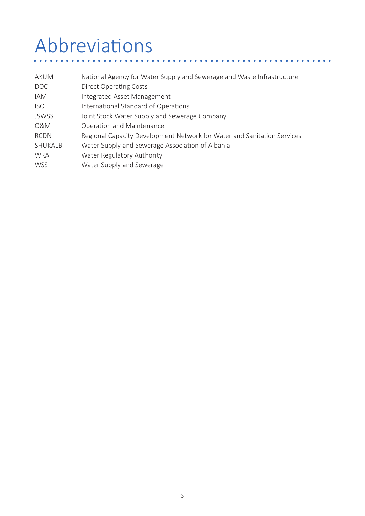# Abbreviations ........................................................

| <b>AKUM</b>  | National Agency for Water Supply and Sewerage and Waste Infrastructure  |
|--------------|-------------------------------------------------------------------------|
| DOC          | Direct Operating Costs                                                  |
| <b>IAM</b>   | Integrated Asset Management                                             |
| <b>ISO</b>   | International Standard of Operations                                    |
| <b>JSWSS</b> | Joint Stock Water Supply and Sewerage Company                           |
| 0&M          | Operation and Maintenance                                               |
| <b>RCDN</b>  | Regional Capacity Development Network for Water and Sanitation Services |
| SHUKALB      | Water Supply and Sewerage Association of Albania                        |
| <b>WRA</b>   | Water Regulatory Authority                                              |
| <b>WSS</b>   | Water Supply and Sewerage                                               |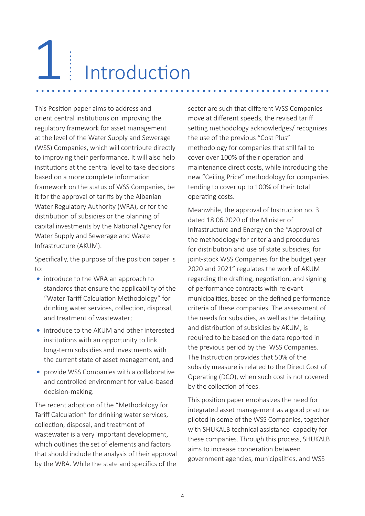# Introduction 1 ....................................................... ........

This Position paper aims to address and orient central institutions on improving the regulatory framework for asset management at the level of the Water Supply and Sewerage (WSS) Companies, which will contribute directly to improving their performance. It will also help institutions at the central level to take decisions based on a more complete information framework on the status of WSS Companies, be it for the approval of tariffs by the Albanian Water Regulatory Authority (WRA), or for the distribution of subsidies or the planning of capital investments by the National Agency for Water Supply and Sewerage and Waste Infrastructure (AKUM).

Specifically, the purpose of the position paper is to:

- introduce to the WRA an approach to standards that ensure the applicability of the "Water Tariff Calculation Methodology" for drinking water services, collection, disposal, and treatment of wastewater;
- introduce to the AKUM and other interested institutions with an opportunity to link long-term subsidies and investments with the current state of asset management, and
- provide WSS Companies with a collaborative  **•**and controlled environment for value-based decision-making.

The recent adoption of the "Methodology for Tariff Calculation" for drinking water services, collection, disposal, and treatment of wastewater is a very important development, which outlines the set of elements and factors that should include the analysis of their approval by the WRA. While the state and specifics of the

sector are such that different WSS Companies move at different speeds, the revised tariff setting methodology acknowledges/ recognizes the use of the previous "Cost Plus" methodology for companies that still fail to cover over 100% of their operation and maintenance direct costs, while introducing the new "Ceiling Price" methodology for companies tending to cover up to 100% of their total operating costs.

Meanwhile, the approval of Instruction no. 3 dated 18.06.2020 of the Minister of Infrastructure and Energy on the "Approval of the methodology for criteria and procedures for distribution and use of state subsidies, for joint-stock WSS Companies for the budget year 2020 and 2021" regulates the work of AKUM regarding the drafting, negotiation, and signing of performance contracts with relevant municipalities, based on the defined performance criteria of these companies. The assessment of the needs for subsidies, as well as the detailing and distribution of subsidies by AKUM, is required to be based on the data reported in the previous period by the WSS Companies. The Instruction provides that 50% of the subsidy measure is related to the Direct Cost of Operating (DCO), when such cost is not covered by the collection of fees.

This position paper emphasizes the need for integrated asset management as a good practice piloted in some of the WSS Companies, together with SHUKALB technical assistance capacity for these companies. Through this process, SHUKALB aims to increase cooperation between government agencies, municipalities, and WSS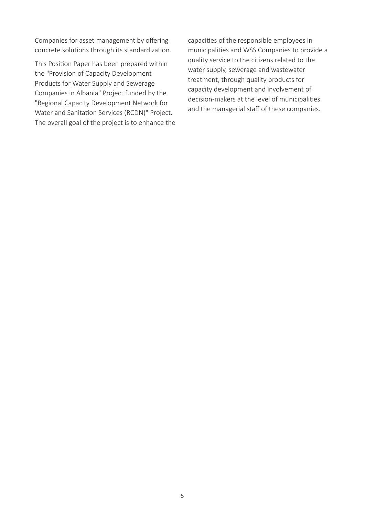Companies for asset management by offering concrete solutions through its standardization.

This Position Paper has been prepared within the "Provision of Capacity Development Products for Water Supply and Sewerage Companies in Albania" Project funded by the "Regional Capacity Development Network for Water and Sanitation Services (RCDN)" Project. The overall goal of the project is to enhance the

capacities of the responsible employees in municipalities and WSS Companies to provide a quality service to the citizens related to the water supply, sewerage and wastewater treatment, through quality products for capacity development and involvement of decision-makers at the level of municipalities and the managerial staff of these companies.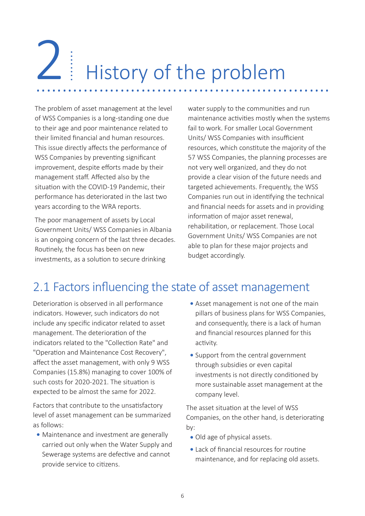# History of the problem 2 Listory of the problem

The problem of asset management at the level of WSS Companies is a long-standing one due to their age and poor maintenance related to their limited financial and human resources. This issue directly affects the performance of WSS Companies by preventing significant improvement, despite efforts made by their management staff. Affected also by the situation with the COVID-19 Pandemic, their performance has deteriorated in the last two years according to the WRA reports.

The poor management of assets by Local Government Units/ WSS Companies in Albania is an ongoing concern of the last three decades. Routinely, the focus has been on new investments, as a solution to secure drinking

water supply to the communities and run maintenance activities mostly when the systems fail to work. For smaller Local Government Units/ WSS Companies with insufficient resources, which constitute the majority of the 57 WSS Companies, the planning processes are not very well organized, and they do not provide a clear vision of the future needs and targeted achievements. Frequently, the WSS Companies run out in identifying the technical and financial needs for assets and in providing information of major asset renewal, rehabilitation, or replacement. Those Local Government Units/ WSS Companies are not able to plan for these major projects and budget accordingly.

## 2.1 Factors influencing the state of asset management

Deterioration is observed in all performance indicators. However, such indicators do not include any specific indicator related to asset management. The deterioration of the indicators related to the "Collection Rate" and "Operation and Maintenance Cost Recovery", affect the asset management, with only 9 WSS Companies (15.8%) managing to cover 100% of such costs for 2020-2021. The situation is expected to be almost the same for 2022.

Factors that contribute to the unsatisfactory level of asset management can be summarized as follows:

Maintenance and investment are generally  **•** carried out only when the Water Supply and Sewerage systems are defective and cannot provide service to citizens.

- Asset management is not one of the main  **•** pillars of business plans for WSS Companies, and consequently, there is a lack of human and financial resources planned for this activity.
- Support from the central government  **•** through subsidies or even capital investments is not directly conditioned by more sustainable asset management at the company level.

The asset situation at the level of WSS Companies, on the other hand, is deteriorating by:

- Old age of physical assets.  **•**
- Lack of financial resources for routine  **•**maintenance, and for replacing old assets.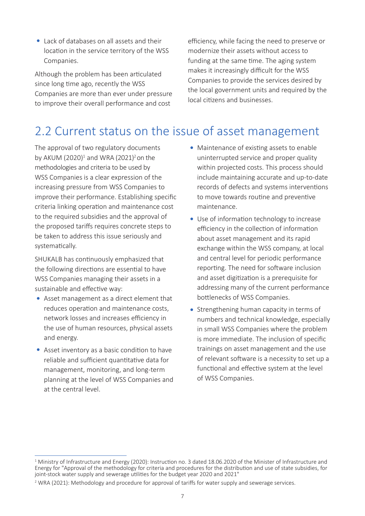Lack of databases on all assets and their  **•** location in the service territory of the WSS Companies.

Although the problem has been articulated since long time ago, recently the WSS Companies are more than ever under pressure to improve their overall performance and cost

efficiency, while facing the need to preserve or modernize their assets without access to funding at the same time. The aging system makes it increasingly difficult for the WSS Companies to provide the services desired by the local government units and required by the local citizens and businesses.

#### 2.2 Current status on the issue of asset management

The approval of two regulatory documents by AKUM (2020)<sup>1</sup> and WRA (2021)<sup>2</sup> on the methodologies and criteria to be used by WSS Companies is a clear expression of the increasing pressure from WSS Companies to improve their performance. Establishing specific criteria linking operation and maintenance cost to the required subsidies and the approval of the proposed tariffs requires concrete steps to be taken to address this issue seriously and systematically.

SHUKALB has continuously emphasized that the following directions are essential to have WSS Companies managing their assets in a sustainable and effective way:

- Asset management as a direct element that  **•**reduces operation and maintenance costs, network losses and increases efficiency in the use of human resources, physical assets and energy.
- Asset inventory as a basic condition to have  **•** reliable and sufficient quantitative data for management, monitoring, and long-term planning at the level of WSS Companies and at the central level.
- Maintenance of existing assets to enable  **•** uninterrupted service and proper quality within projected costs. This process should include maintaining accurate and up-to-date records of defects and systems interventions to move towards routine and preventive maintenance.
- Use of information technology to increase  **•** efficiency in the collection of information about asset management and its rapid exchange within the WSS company, at local and central level for periodic performance reporting. The need for software inclusion and asset digitization is a prerequisite for addressing many of the current performance bottlenecks of WSS Companies.
- Strengthening human capacity in terms of  **•** numbers and technical knowledge, especially in small WSS Companies where the problem is more immediate. The inclusion of specific trainings on asset management and the use of relevant software is a necessity to set up a functional and effective system at the level of WSS Companies.

<sup>1</sup> Ministry of Infrastructure and Energy (2020): Instruction no. 3 dated 18.06.2020 of the Minister of Infrastructure and Energy for "Approval of the methodology for criteria and procedures for the distribution and use of state subsidies, for joint-stock water supply and sewerage utilities for the budget year 2020 and 2021"

 $2$  WRA (2021): Methodology and procedure for approval of tariffs for water supply and sewerage services.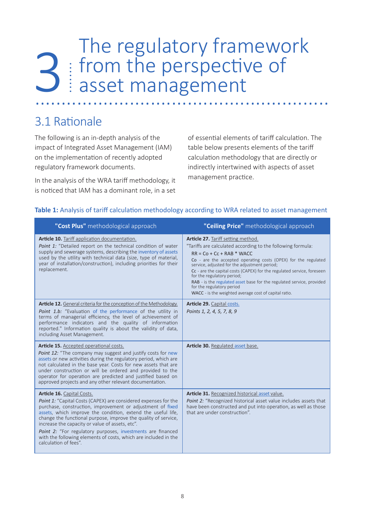# The regulatory framework from the perspective of **3** From the perspective of<br> **3** Example 1 Asset management

#### 3.1 Rationale

The following is an in-depth analysis of the impact of Integrated Asset Management (IAM) on the implementation of recently adopted regulatory framework documents.

In the analysis of the WRA tariff methodology, it is noticed that IAM has a dominant role, in a set of essential elements of tariff calculation. The table below presents elements of the tariff calculation methodology that are directly or indirectly intertwined with aspects of asset management practice.

| "Cost Plus" methodological approach                                                                                                                                                                                                                                                                                                                                                                                                                                                                         | "Ceiling Price" methodological approach                                                                                                                                                                                                                                                                                                                                                                                                                                                                                   |
|-------------------------------------------------------------------------------------------------------------------------------------------------------------------------------------------------------------------------------------------------------------------------------------------------------------------------------------------------------------------------------------------------------------------------------------------------------------------------------------------------------------|---------------------------------------------------------------------------------------------------------------------------------------------------------------------------------------------------------------------------------------------------------------------------------------------------------------------------------------------------------------------------------------------------------------------------------------------------------------------------------------------------------------------------|
| Article 10. Tariff application documentation.<br>Point 1: "Detailed report on the technical condition of water<br>supply and sewerage systems, describing the inventory of assets<br>used by the utility with technical data (size, type of material,<br>year of installation/construction), including priorities for their<br>replacement.                                                                                                                                                                 | Article 27. Tariff setting method.<br>"Tariffs are calculated according to the following formula:<br>$RR = Co + Cc + RAB * WACC$<br>Co - are the accepted operating costs (OPEX) for the regulated<br>service, adjusted for the adjustment period;<br>Cc - are the capital costs (CAPEX) for the regulated service, foreseen<br>for the regulatory period;<br>RAB - is the regulated asset base for the regulated service, provided<br>for the regulatory period<br>WACC - is the weighted average cost of capital ratio. |
| <b>Article 12.</b> General criteria for the conception of the Methodology.<br>Point 1.b: "Evaluation of the performance of the utility in<br>terms of managerial efficiency, the level of achievement of<br>performance indicators and the quality of information<br>reported." Information quality is about the validity of data,<br>including Asset Management.                                                                                                                                           | Article 29. Capital costs.<br>Points 1, 2, 4, 5, 7, 8, 9                                                                                                                                                                                                                                                                                                                                                                                                                                                                  |
| Article 15. Accepted operational costs.<br>Point 12: "The company may suggest and justify costs for new<br>assets or new activities during the regulatory period, which are<br>not calculated in the base year. Costs for new assets that are<br>under construction or will be ordered and provided to the<br>operator for operation are predicted and justified based on<br>approved projects and any other relevant documentation.                                                                        | Article 30. Regulated asset base.                                                                                                                                                                                                                                                                                                                                                                                                                                                                                         |
| Article 16. Capital Costs.<br>Point 1: "Capital Costs (CAPEX) are considered expenses for the<br>purchase, construction, improvement or adjustment of fixed<br>assets, which improve the condition, extend the useful life,<br>change the functional purpose, improve the quality of service,<br>increase the capacity or value of assets, etc".<br>Point 2: "For regulatory purposes, investments are financed<br>with the following elements of costs, which are included in the<br>calculation of fees". | Article 31. Recognized historical asset value.<br>Point 2: "Recognized historical asset value includes assets that<br>have been constructed and put into operation, as well as those<br>that are under construction".                                                                                                                                                                                                                                                                                                     |

#### **Table 1:** Analysis of tariff calculation methodology according to WRA related to asset management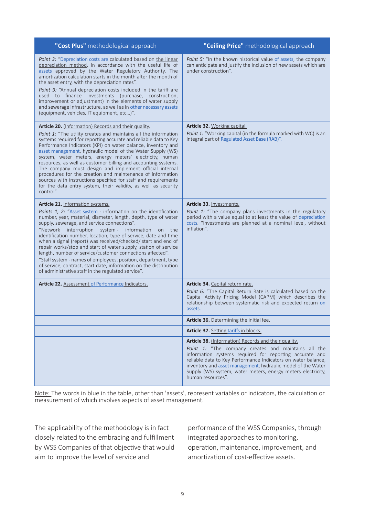| "Cost Plus" methodological approach                                                                                                                                                                                                                                                                                                                                                                                                                                                                                                                                                                                                                                                                                                             | "Ceiling Price" methodological approach                                                                                                                                                                                                                                                                                                                                                      |
|-------------------------------------------------------------------------------------------------------------------------------------------------------------------------------------------------------------------------------------------------------------------------------------------------------------------------------------------------------------------------------------------------------------------------------------------------------------------------------------------------------------------------------------------------------------------------------------------------------------------------------------------------------------------------------------------------------------------------------------------------|----------------------------------------------------------------------------------------------------------------------------------------------------------------------------------------------------------------------------------------------------------------------------------------------------------------------------------------------------------------------------------------------|
| Point 3: "Depreciation costs are calculated based on the linear<br>depreciation method, in accordance with the useful life of<br>assets approved by the Water Regulatory Authority. The<br>amortization calculation starts in the month after the month of<br>the asset entry, with the depreciation rates".<br>Point 9: "Annual depreciation costs included in the tariff are<br>used to finance investments (purchase, construction,<br>improvement or adjustment) in the elements of water supply<br>and sewerage infrastructure, as well as in other necessary assets<br>(equipment, vehicles, IT equipment, etc)".                                                                                                                         | <b>Point 5:</b> "In the known historical value of assets, the company<br>can anticipate and justify the inclusion of new assets which are<br>under construction".                                                                                                                                                                                                                            |
| Article 20. (Information) Records and their quality.<br>Point 1: "The utility creates and maintains all the information<br>systems required for reporting accurate and reliable data to Key<br>Performance Indicators (KPI) on water balance, inventory and<br>asset management, hydraulic model of the Water Supply (WS)<br>system, water meters, energy meters' electricity, human<br>resources, as well as customer billing and accounting systems.<br>The company must design and implement official internal<br>procedures for the creation and maintenance of information<br>sources with instructions specified for staff and requirements<br>for the data entry system, their validity, as well as security<br>control".                | Article 32. Working capital.<br><b>Point 1:</b> "Working capital (in the formula marked with WC) is an<br>integral part of Regulated Asset Base (RAB)".                                                                                                                                                                                                                                      |
| Article 21. Information systems.<br>Points 1, 2: "Asset system - information on the identification<br>number, year, material, diameter, length, depth, type of water<br>supply, sewerage, and service connections".<br>"Network interruption system - information<br>the<br>on<br>identification number, location, type of service, date and time<br>when a signal (report) was received/checked/ start and end of<br>repair works/stop and start of water supply, station of service<br>length, number of service/customer connections affected".<br>"Staff system - names of employees, position, department, type<br>of service, contract, start date, information on the distribution<br>of administrative staff in the regulated service". | Article 33. Investments.<br>Point 1: "The company plans investments in the regulatory<br>period with a value equal to at least the value of depreciation<br>costs. "Investments are planned at a nominal level, without<br>inflation".                                                                                                                                                       |
| Article 22. Assessment of Performance Indicators.                                                                                                                                                                                                                                                                                                                                                                                                                                                                                                                                                                                                                                                                                               | Article 34. Capital return rate.                                                                                                                                                                                                                                                                                                                                                             |
|                                                                                                                                                                                                                                                                                                                                                                                                                                                                                                                                                                                                                                                                                                                                                 | Point 6: "The Capital Return Rate is calculated based on the<br>Capital Activity Pricing Model (CAPM) which describes the<br>relationship between systematic risk and expected return on<br>assets.                                                                                                                                                                                          |
|                                                                                                                                                                                                                                                                                                                                                                                                                                                                                                                                                                                                                                                                                                                                                 | Article 36. Determining the initial fee.                                                                                                                                                                                                                                                                                                                                                     |
|                                                                                                                                                                                                                                                                                                                                                                                                                                                                                                                                                                                                                                                                                                                                                 | Article 37. Setting tariffs in blocks.                                                                                                                                                                                                                                                                                                                                                       |
|                                                                                                                                                                                                                                                                                                                                                                                                                                                                                                                                                                                                                                                                                                                                                 | Article 38. (Information) Records and their quality.<br>Point 1: "The company creates and maintains all the<br>information systems required for reporting accurate and<br>reliable data to Key Performance Indicators on water balance,<br>inventory and asset management, hydraulic model of the Water<br>Supply (WS) system, water meters, energy meters electricity,<br>human resources". |

Note: The words in blue in the table, other than 'assets', represent variables or indicators, the calculation or measurement of which involves aspects of asset management.

The applicability of the methodology is in fact closely related to the embracing and fulfillment by WSS Companies of that objective that would aim to improve the level of service and

performance of the WSS Companies, through integrated approaches to monitoring, operation, maintenance, improvement, and amortization of cost-effective assets.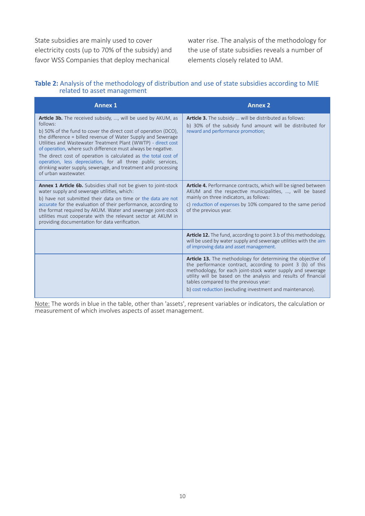State subsidies are mainly used to cover electricity costs (up to 70% of the subsidy) and favor WSS Companies that deploy mechanical

water rise. The analysis of the methodology for the use of state subsidies reveals a number of elements closely related to IAM.

#### **Table 2:** Analysis of the methodology of distribution and use of state subsidies according to MIE related to asset management

| <b>Annex 1</b>                                                                                                                                                                                                                                                                                                                                                                                                                                                                                                                                                                  | <b>Annex 2</b>                                                                                                                                                                                                                                                                                                                                                           |
|---------------------------------------------------------------------------------------------------------------------------------------------------------------------------------------------------------------------------------------------------------------------------------------------------------------------------------------------------------------------------------------------------------------------------------------------------------------------------------------------------------------------------------------------------------------------------------|--------------------------------------------------------------------------------------------------------------------------------------------------------------------------------------------------------------------------------------------------------------------------------------------------------------------------------------------------------------------------|
| <b>Article 3b.</b> The received subsidy, , will be used by AKUM, as<br>follows:<br>b) 50% of the fund to cover the direct cost of operation (DCO),<br>the difference = billed revenue of Water Supply and Sewerage<br>Utilities and Wastewater Treatment Plant (WWTP) - direct cost<br>of operation, where such difference must always be negative.<br>The direct cost of operation is calculated as the total cost of<br>operation, less depreciation, for all three public services,<br>drinking water supply, sewerage, and treatment and processing<br>of urban wastewater. | <b>Article 3.</b> The subsidy  will be distributed as follows:<br>b) 30% of the subsidy fund amount will be distributed for<br>reward and performance promotion;                                                                                                                                                                                                         |
| <b>Annex 1 Article 6b.</b> Subsidies shall not be given to joint-stock<br>water supply and sewerage utilities, which:<br>b) have not submitted their data on time or the data are not<br>accurate for the evaluation of their performance, according to<br>the format required by AKUM. Water and sewerage joint-stock<br>utilities must cooperate with the relevant sector at AKUM in<br>providing documentation for data verification.                                                                                                                                        | <b>Article 4.</b> Performance contracts, which will be signed between<br>AKUM and the respective municipalities, , will be based<br>mainly on three indicators, as follows:<br>c) reduction of expenses by 10% compared to the same period<br>of the previous year.                                                                                                      |
|                                                                                                                                                                                                                                                                                                                                                                                                                                                                                                                                                                                 | <b>Article 12.</b> The fund, according to point 3.b of this methodology,<br>will be used by water supply and sewerage utilities with the aim<br>of improving data and asset management.                                                                                                                                                                                  |
|                                                                                                                                                                                                                                                                                                                                                                                                                                                                                                                                                                                 | <b>Article 13.</b> The methodology for determining the objective of<br>the performance contract, according to point 3 (b) of this<br>methodology, for each joint-stock water supply and sewerage<br>utility will be based on the analysis and results of financial<br>tables compared to the previous year:<br>b) cost reduction (excluding investment and maintenance). |

Note: The words in blue in the table, other than 'assets', represent variables or indicators, the calculation or measurement of which involves aspects of asset management.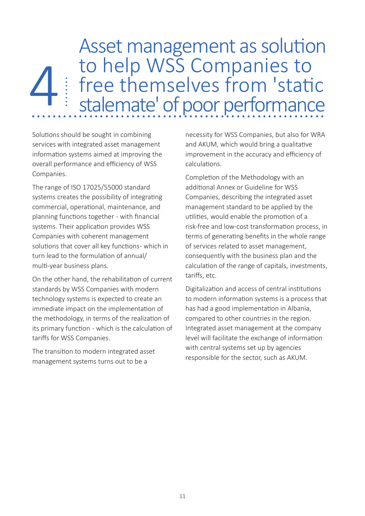Asset management as solution to help WSS Companies to free themselves from 'static stalemate' of poor performance 4 4 Free themselves from 'static

Solutions should be sought in combining services with integrated asset management information systems aimed at improving the overall performance and efficiency of WSS Companies.

The range of ISO 17025/55000 standard systems creates the possibility of integrating commercial, operational, maintenance, and planning functions together - with financial systems. Their application provides WSS Companies with coherent management solutions that cover all key functions- which in turn lead to the formulation of annual/ multi-year business plans.

On the other hand, the rehabilitation of current standards by WSS Companies with modern technology systems is expected to create an immediate impact on the implementation of the methodology, in terms of the realization of its primary function - which is the calculation of tariffs for WSS Companies.

The transition to modern integrated asset management systems turns out to be a

necessity for WSS Companies, but also for WRA and AKUM, which would bring a qualitative improvement in the accuracy and efficiency of calculations.

Completion of the Methodology with an additional Annex or Guideline for WSS Companies, describing the integrated asset management standard to be applied by the utilities, would enable the promotion of a risk-free and low-cost transformation process, in terms of generating benefits in the whole range of services related to asset management, consequently with the business plan and the calculation of the range of capitals, investments, tariffs, etc.

Digitalization and access of central institutions to modern information systems is a process that has had a good implementation in Albania, compared to other countries in the region. Integrated asset management at the company level will facilitate the exchange of information with central systems set up by agencies responsible for the sector, such as AKUM.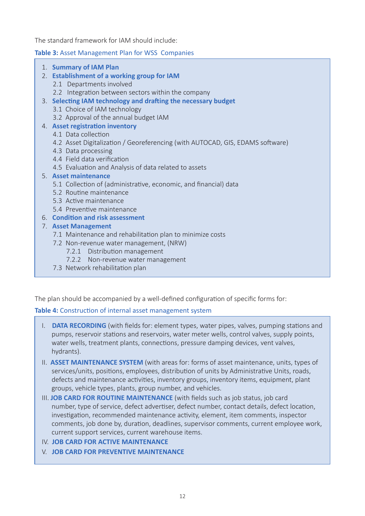The standard framework for IAM should include:

#### **Table 3:** Asset Management Plan for WSS Companies

- 1. **Summary of IAM Plan**
- 2. **Establishment of a working group for IAM**
	- 2.1 Departments involved
	- 2.2 Integration between sectors within the company
- 3. **Selecting IAM technology and drafting the necessary budget**
	- 3.1 Choice of IAM technology
	- 3.2 Approval of the annual budget IAM
- 4. **Asset registration inventory**
	- 4.1 Data collection
	- 4.2 Asset Digitalization / Georeferencing (with AUTOCAD, GIS, EDAMS software)
	- 4.3 Data processing
	- 4.4 Field data verification
	- 4.5 Evaluation and Analysis of data related to assets
- 5. **Asset maintenance**
	- 5.1 Collection of (administrative, economic, and financial) data
	- 5.2 Routine maintenance
	- 5.3 Active maintenance
	- 5.4 Preventive maintenance
- 6. **Condition and risk assessment**
- 7. **Asset Management**
	- 7.1 Maintenance and rehabilitation plan to minimize costs
	- 7.2 Non-revenue water management, (NRW)
		- 7.2.1 Distribution management
		- 7.2.2 Non-revenue water management
	- 7.3 Network rehabilitation plan

The plan should be accompanied by a well-defined configuration of specific forms for:

#### **Table 4:** Construction of internal asset management system

- I. **DATA RECORDING** (with fields for: element types, water pipes, valves, pumping stations and pumps, reservoir stations and reservoirs, water meter wells, control valves, supply points, water wells, treatment plants, connections, pressure damping devices, vent valves, hydrants).
- II. **ASSET MAINTENANCE SYSTEM** (with areas for: forms of asset maintenance, units, types of services/units, positions, employees, distribution of units by Administrative Units, roads, defects and maintenance activities, inventory groups, inventory items, equipment, plant groups, vehicle types, plants, group number, and vehicles.
- III. **JOB CARD FOR ROUTINE MAINTENANCE** (with fields such as job status, job card number, type of service, defect advertiser, defect number, contact details, defect location, investigation, recommended maintenance activity, element, item comments, inspector comments, job done by, duration, deadlines, supervisor comments, current employee work, current support services, current warehouse items.
- IV. **JOB CARD FOR ACTIVE MAINTENANCE**

l

V. **JOB CARD FOR PREVENTIVE MAINTENANCE**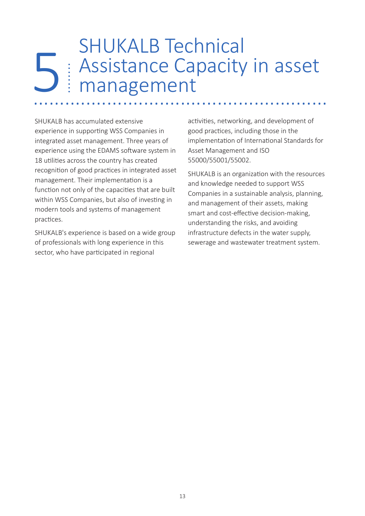### SHUKALB Technical Assistance Capacity in asset management 5 ........................................................ ........

SHUKALB has accumulated extensive experience in supporting WSS Companies in integrated asset management. Three years of experience using the EDAMS software system in 18 utilities across the country has created recognition of good practices in integrated asset management. Their implementation is a function not only of the capacities that are built within WSS Companies, but also of investing in modern tools and systems of management practices.

SHUKALB's experience is based on a wide group of professionals with long experience in this sector, who have participated in regional

activities, networking, and development of good practices, including those in the implementation of International Standards for Asset Management and ISO 55000/55001/55002.

SHUKALB is an organization with the resources and knowledge needed to support WSS Companies in a sustainable analysis, planning, and management of their assets, making smart and cost-effective decision-making, understanding the risks, and avoiding infrastructure defects in the water supply, sewerage and wastewater treatment system.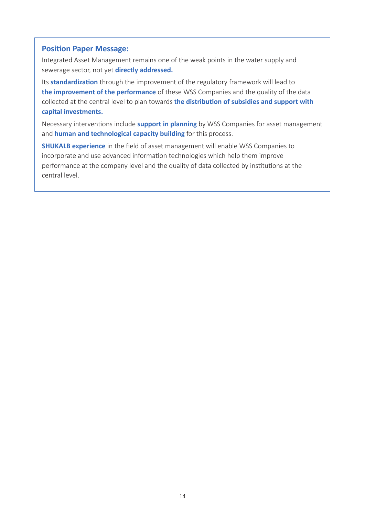#### **Position Paper Message:**

Integrated Asset Management remains one of the weak points in the water supply and sewerage sector, not yet **directly addressed.** 

Its **standardization** through the improvement of the regulatory framework will lead to **the improvement of the performance** of these WSS Companies and the quality of the data collected at the central level to plan towards **the distribution of subsidies and support with capital investments.** 

Necessary interventions include **support in planning** by WSS Companies for asset management and **human and technological capacity building** for this process.

**SHUKALB experience** in the field of asset management will enable WSS Companies to incorporate and use advanced information technologies which help them improve performance at the company level and the quality of data collected by institutions at the central level.